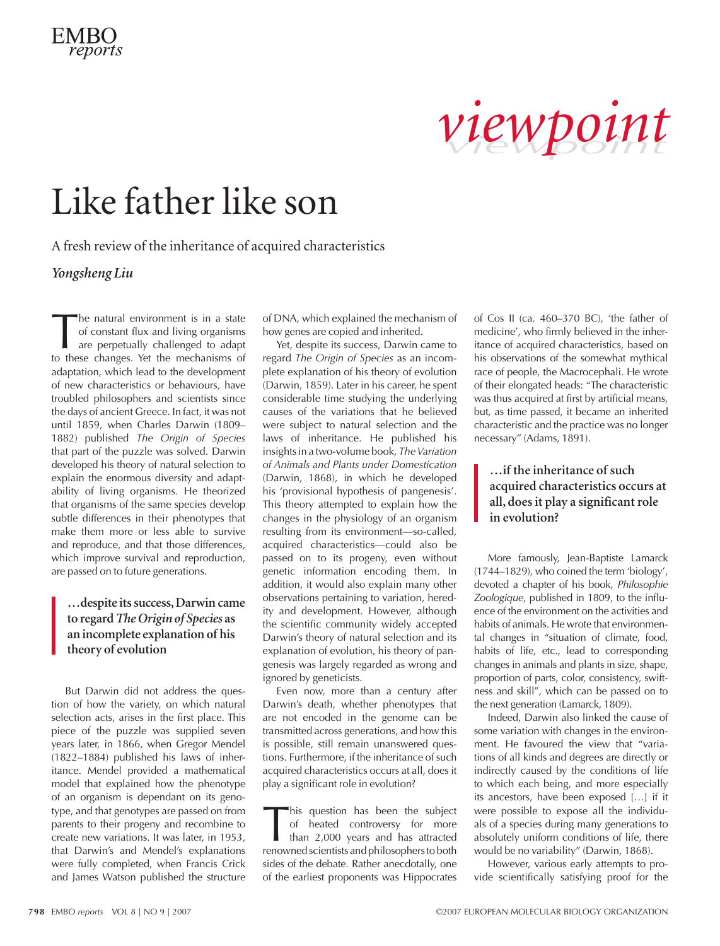

# Like father like son

A fresh review of the inheritance of acquired characteristics

## *Yongsheng Liu*

The natural environment is in a state<br>
of constant flux and living organisms<br>
are perpetually challenged to adapt<br>
to these changes. Yet the mechanisms of of constant flux and living organisms to these changes. Yet the mechanisms of adaptation, which lead to the development of new characteristics or behaviours, have troubled philosophers and scientists since the days of ancient Greece. In fact, it was not until 1859, when Charles Darwin (1809– 1882) published *The Origin of Species* that part of the puzzle was solved. Darwin developed his theory of natural selection to explain the enormous diversity and adaptability of living organisms. He theorized that organisms of the same species develop subtle differences in their phenotypes that make them more or less able to survive and reproduce, and that those differences, which improve survival and reproduction, are passed on to future generations.

### **…despite its success, Darwin came to regard** *The Origin of Species* **as an incomplete explanation of his theory of evolution**

But Darwin did not address the question of how the variety, on which natural selection acts, arises in the first place. This piece of the puzzle was supplied seven years later, in 1866, when Gregor Mendel (1822–1884) published his laws of inheritance. Mendel provided a mathematical model that explained how the phenotype of an organism is dependant on its genotype, and that genotypes are passed on from parents to their progeny and recombine to create new variations. It was later, in 1953, that Darwin's and Mendel's explanations were fully completed, when Francis Crick and James Watson published the structure

of DNA, which explained the mechanism of how genes are copied and inherited.

Yet, despite its success, Darwin came to regard *The Origin of Species* as an incomplete explanation of his theory of evolution (Darwin, 1859). Later in his career, he spent considerable time studying the underlying causes of the variations that he believed were subject to natural selection and the laws of inheritance. He published his insights in a two-volume book, *The Variation of Animals and Plants under Domestication* (Darwin, 1868), in which he developed his 'provisional hypothesis of pangenesis'. This theory attempted to explain how the changes in the physiology of an organism resulting from its environment—so-called, acquired characteristics—could also be passed on to its progeny, even without genetic information encoding them. In addition, it would also explain many other observations pertaining to variation, heredity and development. However, although the scientific community widely accepted Darwin's theory of natural selection and its explanation of evolution, his theory of pangenesis was largely regarded as wrong and ignored by geneticists.

Even now, more than a century after Darwin's death, whether phenotypes that are not encoded in the genome can be transmitted across generations, and how this is possible, still remain unanswered questions. Furthermore, if the inheritance of such acquired characteristics occurs at all, does it play a significant role in evolution?

This question has been the subject<br>of heated controversy for more<br>than 2,000 years and has attracted<br>renowned ccientists and philosophers to both of heated controversy for more renowned scientists and philosophers to both sides of the debate. Rather anecdotally, one of the earliest proponents was Hippocrates

of Cos II (ca. 460–370 BC), 'the father of medicine', who firmly believed in the inheritance of acquired characteristics, based on his observations of the somewhat mythical race of people, the Macrocephali. He wrote of their elongated heads: "The characteristic was thus acquired at first by artificial means, but, as time passed, it became an inherited characteristic and the practice was no longer necessary" (Adams, 1891).

## **…if the inheritance of such acquired characteristics occurs at all, does it play a significant role in evolution?**

More famously, Jean-Baptiste Lamarck (1744–1829), who coined the term 'biology', devoted a chapter of his book, *Philosophie Zoologique*, published in 1809, to the influence of the environment on the activities and habits of animals. He wrote that environmental changes in "situation of climate, food, habits of life, etc., lead to corresponding changes in animals and plants in size, shape, proportion of parts, color, consistency, swiftness and skill", which can be passed on to the next generation (Lamarck, 1809).

Indeed, Darwin also linked the cause of some variation with changes in the environment. He favoured the view that "variations of all kinds and degrees are directly or indirectly caused by the conditions of life to which each being, and more especially its ancestors, have been exposed […] if it were possible to expose all the individuals of a species during many generations to absolutely uniform conditions of life, there would be no variability" (Darwin, 1868).

However, various early attempts to provide scientifically satisfying proof for the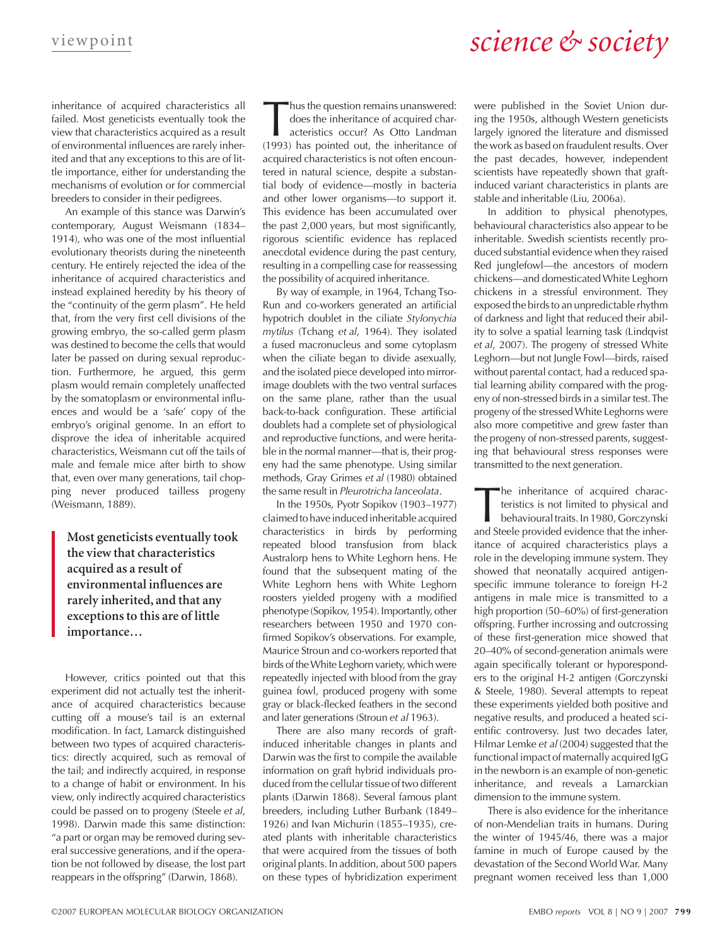# v iew point *science & society*

inheritance of acquired characteristics all failed. Most geneticists eventually took the view that characteristics acquired as a result of environmental influences are rarely inherited and that any exceptions to this are of little importance, either for understanding the mechanisms of evolution or for commercial breeders to consider in their pedigrees.

An example of this stance was Darwin's contemporary, August Weismann (1834– 1914), who was one of the most influential evolutionary theorists during the nineteenth century. He entirely rejected the idea of the inheritance of acquired characteristics and instead explained heredity by his theory of the "continuity of the germ plasm". He held that, from the very first cell divisions of the growing embryo, the so-called germ plasm was destined to become the cells that would later be passed on during sexual reproduction. Furthermore, he argued, this germ plasm would remain completely unaffected by the somatoplasm or environmental influences and would be a 'safe' copy of the embryo's original genome. In an effort to disprove the idea of inheritable acquired characteristics, Weismann cut off the tails of male and female mice after birth to show that, even over many generations, tail chopping never produced tailless progeny (Weismann, 1889).

**Most geneticists eventually took the view that characteristics acquired as a result of environmental influences are rarely inherited, and that any exceptions to this are of little importance…**

However, critics pointed out that this experiment did not actually test the inheritance of acquired characteristics because cutting off a mouse's tail is an external modification. In fact, Lamarck distinguished between two types of acquired characteristics: directly acquired, such as removal of the tail; and indirectly acquired, in response to a change of habit or environment. In his view, only indirectly acquired characteristics could be passed on to progeny (Steele *et al*, 1998). Darwin made this same distinction: "a part or organ may be removed during several successive generations, and if the operation be not followed by disease, the lost part reappears in the offspring" (Darwin, 1868).

Thus the question remains unanswered:<br>
does the inheritance of acquired char-<br>
acteristics occur? As Otto Landman<br>
(1993) has pointed out the inheritance of does the inheritance of acquired char-(1993) has pointed out, the inheritance of acquired characteristics is not often encountered in natural science, despite a substantial body of evidence—mostly in bacteria and other lower organisms—to support it. This evidence has been accumulated over the past 2,000 years, but most significantly, rigorous scientific evidence has replaced anecdotal evidence during the past century, resulting in a compelling case for reassessing the possibility of acquired inheritance.

By way of example, in 1964, Tchang Tso-Run and co-workers generated an artificial hypotrich doublet in the ciliate *Stylonychia mytilus* (Tchang *et al*, 1964). They isolated a fused macronucleus and some cytoplasm when the ciliate began to divide asexually, and the isolated piece developed into mirrorimage doublets with the two ventral surfaces on the same plane, rather than the usual back-to-back configuration. These artificial doublets had a complete set of physiological and reproductive functions, and were heritable in the normal manner—that is, their progeny had the same phenotype. Using similar methods, Gray Grimes *et al* (1980) obtained the same result in *Pleurotricha lanceolata*.

In the 1950s, Pyotr Sopikov (1903–1977) claimed to have induced inheritable acquired characteristics in birds by performing repeated blood transfusion from black Australorp hens to White Leghorn hens. He found that the subsequent mating of the White Leghorn hens with White Leghorn roosters yielded progeny with a modified phenotype (Sopikov, 1954). Importantly, other researchers between 1950 and 1970 confirmed Sopikov's observations. For example, Maurice Stroun and co-workers reported that birds of the White Leghorn variety, which were repeatedly injected with blood from the gray guinea fowl, produced progeny with some gray or black-flecked feathers in the second and later generations (Stroun *et al* 1963).

There are also many records of graftinduced inheritable changes in plants and Darwin was the first to compile the available information on graft hybrid individuals produced from the cellular tissue of two different plants (Darwin 1868). Several famous plant breeders, including Luther Burbank (1849– 1926) and Ivan Michurin (1855–1935), created plants with inheritable characteristics that were acquired from the tissues of both original plants. In addition, about 500 papers on these types of hybridization experiment were published in the Soviet Union during the 1950s, although Western geneticists largely ignored the literature and dismissed the work as based on fraudulent results. Over the past decades, however, independent scientists have repeatedly shown that graftinduced variant characteristics in plants are stable and inheritable (Liu, 2006a).

In addition to physical phenotypes, behavioural characteristics also appear to be inheritable. Swedish scientists recently produced substantial evidence when they raised Red junglefowl—the ancestors of modern chickens—and domesticated White Leghorn chickens in a stressful environment. They exposed the birds to an unpredictable rhythm of darkness and light that reduced their ability to solve a spatial learning task (Lindqvist *et al*, 2007). The progeny of stressed White Leghorn—but not Jungle Fowl—birds, raised without parental contact, had a reduced spatial learning ability compared with the progeny of non-stressed birds in a similar test. The progeny of the stressed White Leghorns were also more competitive and grew faster than the progeny of non-stressed parents, suggesting that behavioural stress responses were transmitted to the next generation.

The inheritance of acquired characteristics is not limited to physical and behavioural traits. In 1980, Gorczynski and Steele provided evidence that the inheritance of acquired characteristics plays a role in the developing immune system. They showed that neonatally acquired antigenspecific immune tolerance to foreign H-2 antigens in male mice is transmitted to a high proportion (50–60%) of first-generation offspring. Further incrossing and outcrossing of these first-generation mice showed that 20–40% of second-generation animals were again specifically tolerant or hyporesponders to the original H-2 antigen (Gorczynski & Steele, 1980). Several attempts to repeat these experiments yielded both positive and negative results, and produced a heated scientific controversy. Just two decades later, Hilmar Lemke *et al* (2004) suggested that the functional impact of maternally acquired IgG in the newborn is an example of non-genetic inheritance, and reveals a Lamarckian dimension to the immune system.

There is also evidence for the inheritance of non-Mendelian traits in humans. During the winter of 1945/46, there was a major famine in much of Europe caused by the devastation of the Second World War. Many pregnant women received less than 1,000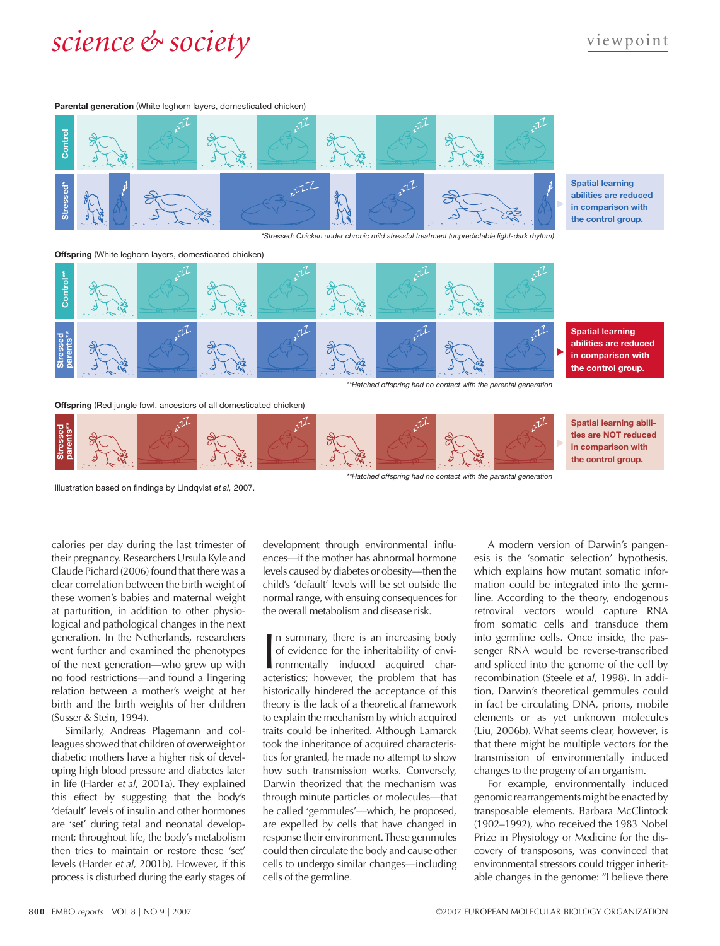# *science & society* viewpoint

### **Parental generation** (White leghorn layers, domesticated chicken)



**Offspring** (White leghorn layers, domesticated chicken)



**Offspring** (Red jungle fowl, ancestors of all domesticated chicken)



**ties are NOT reduced in comparison with the control group.**

calories per day during the last trimester of their pregnancy. Researchers Ursula Kyle and Claude Pichard (2006) found that there was a clear correlation between the birth weight of these women's babies and maternal weight at parturition, in addition to other physiological and pathological changes in the next generation. In the Netherlands, researchers went further and examined the phenotypes of the next generation—who grew up with no food restrictions—and found a lingering relation between a mother's weight at her birth and the birth weights of her children (Susser & Stein, 1994).

Similarly, Andreas Plagemann and colleagues showed that children of overweight or diabetic mothers have a higher risk of developing high blood pressure and diabetes later in life (Harder *et al*, 2001a). They explained this effect by suggesting that the body's 'default' levels of insulin and other hormones are 'set' during fetal and neonatal development; throughout life, the body's metabolism then tries to maintain or restore these 'set' levels (Harder *et al*, 2001b). However, if this process is disturbed during the early stages of

development through environmental influences—if the mother has abnormal hormone levels caused by diabetes or obesity—then the child's 'default' levels will be set outside the normal range, with ensuing consequences for the overall metabolism and disease risk.

*\*\*Hatched offspring had no contact with the parental generation*

In summary, there is an increasing body<br>of evidence for the inheritability of envi-<br>ronmentally induced acquired char-<br>acteristics; however, the problem that has n summary, there is an increasing body of evidence for the inheritability of environmentally induced acquired charhistorically hindered the acceptance of this theory is the lack of a theoretical framework to explain the mechanism by which acquired traits could be inherited. Although Lamarck took the inheritance of acquired characteristics for granted, he made no attempt to show how such transmission works. Conversely, Darwin theorized that the mechanism was through minute particles or molecules—that he called 'gemmules'—which, he proposed, are expelled by cells that have changed in response their environment. These gemmules could then circulate the body and cause other cells to undergo similar changes—including cells of the germline.

A modern version of Darwin's pangenesis is the 'somatic selection' hypothesis, which explains how mutant somatic information could be integrated into the germline. According to the theory, endogenous retroviral vectors would capture RNA from somatic cells and transduce them into germline cells. Once inside, the passenger RNA would be reverse-transcribed and spliced into the genome of the cell by recombination (Steele *et al*, 1998). In addition, Darwin's theoretical gemmules could in fact be circulating DNA, prions, mobile elements or as yet unknown molecules (Liu, 2006b). What seems clear, however, is that there might be multiple vectors for the transmission of environmentally induced changes to the progeny of an organism.

For example, environmentally induced genomic rearrangements might be enacted by transposable elements. Barbara McClintock (1902–1992), who received the 1983 Nobel Prize in Physiology or Medicine for the discovery of transposons, was convinced that environmental stressors could trigger inheritable changes in the genome: "I believe there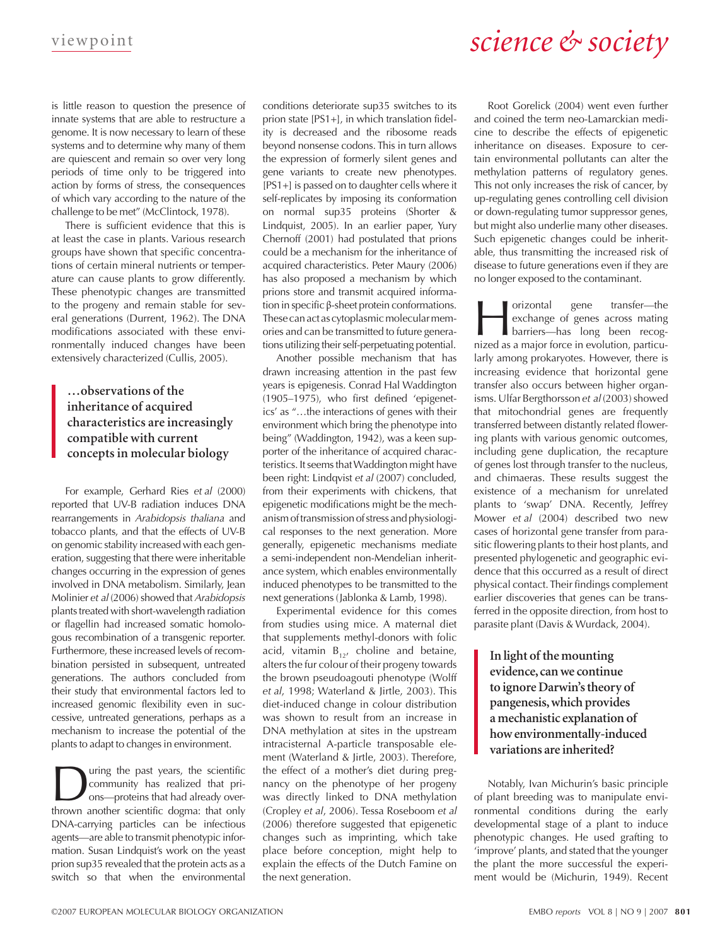is little reason to question the presence of innate systems that are able to restructure a genome. It is now necessary to learn of these systems and to determine why many of them are quiescent and remain so over very long periods of time only to be triggered into action by forms of stress, the consequences of which vary according to the nature of the challenge to be met" (McClintock, 1978).

There is sufficient evidence that this is at least the case in plants. Various research groups have shown that specific concentrations of certain mineral nutrients or temperature can cause plants to grow differently. These phenotypic changes are transmitted to the progeny and remain stable for several generations (Durrent, 1962). The DNA modifications associated with these environmentally induced changes have been extensively characterized (Cullis, 2005).

### **…observations of the inheritance of acquired characteristics are increasingly compatible with current concepts in molecular biology**

For example, Gerhard Ries *et al* (2000) reported that UV-B radiation induces DNA rearrangements in *Arabidopsis thaliana* and tobacco plants, and that the effects of UV-B on genomic stability increased with each generation, suggesting that there were inheritable changes occurring in the expression of genes involved in DNA metabolism. Similarly, Jean Molinier *et al* (2006) showed that *Arabidopsis*  plants treated with short-wavelength radiation or flagellin had increased somatic homologous recombination of a transgenic reporter. Furthermore, these increased levels of recombination persisted in subsequent, untreated generations. The authors concluded from their study that environmental factors led to increased genomic flexibility even in successive, untreated generations, perhaps as a mechanism to increase the potential of the plants to adapt to changes in environment.

uring the past years, the scientific community has realized that prions—proteins that had already overthrown another scientific dogma: that only DNA-carrying particles can be infectious agents—are able to transmit phenotypic information. Susan Lindquist's work on the yeast prion sup35 revealed that the protein acts as a switch so that when the environmental

conditions deteriorate sup35 switches to its prion state [PS1+], in which translation fidelity is decreased and the ribosome reads beyond nonsense codons. This in turn allows the expression of formerly silent genes and gene variants to create new phenotypes. [PS1+] is passed on to daughter cells where it self-replicates by imposing its conformation on normal sup35 proteins (Shorter & Lindquist, 2005). In an earlier paper, Yury Chernoff (2001) had postulated that prions could be a mechanism for the inheritance of acquired characteristics. Peter Maury (2006) has also proposed a mechanism by which prions store and transmit acquired information in specific β-sheet protein conformations. These can act as cytoplasmic molecular memories and can be transmitted to future generations utilizing their self-perpetuating potential.

Another possible mechanism that has drawn increasing attention in the past few years is epigenesis. Conrad Hal Waddington (1905–1975), who first defined 'epigenetics' as "…the interactions of genes with their environment which bring the phenotype into being" (Waddington, 1942), was a keen supporter of the inheritance of acquired characteristics. It seems that Waddington might have been right: Lindqvist *et al* (2007) concluded, from their experiments with chickens, that epigenetic modifications might be the mechanism of transmission of stress and physiological responses to the next generation. More generally, epigenetic mechanisms mediate a semi-independent non-Mendelian inheritance system, which enables environmentally induced phenotypes to be transmitted to the next generations (Jablonka & Lamb, 1998).

Experimental evidence for this comes from studies using mice. A maternal diet that supplements methyl-donors with folic acid, vitamin  $B_{12}$ , choline and betaine, alters the fur colour of their progeny towards the brown pseudoagouti phenotype (Wolff *et al*, 1998; Waterland & Jirtle, 2003). This diet-induced change in colour distribution was shown to result from an increase in DNA methylation at sites in the upstream intracisternal A-particle transposable element (Waterland & Jirtle, 2003). Therefore, the effect of a mother's diet during pregnancy on the phenotype of her progeny was directly linked to DNA methylation (Cropley *et al*, 2006). Tessa Roseboom *et al* (2006) therefore suggested that epigenetic changes such as imprinting, which take place before conception, might help to explain the effects of the Dutch Famine on the next generation.

# v iew point *science & society*

Root Gorelick (2004) went even further and coined the term neo-Lamarckian medicine to describe the effects of epigenetic inheritance on diseases. Exposure to certain environmental pollutants can alter the methylation patterns of regulatory genes. This not only increases the risk of cancer, by up-regulating genes controlling cell division or down-regulating tumor suppressor genes, but might also underlie many other diseases. Such epigenetic changes could be inheritable, thus transmitting the increased risk of disease to future generations even if they are no longer exposed to the contaminant.

**Formulation** density orizontal gene transfer—the exchange of genes across mating barriers—has long been recognized as a major force in evolution particuexchange of genes across mating nized as a major force in evolution, particularly among prokaryotes. However, there is increasing evidence that horizontal gene transfer also occurs between higher organisms. Ulfar Bergthorsson *et al* (2003) showed that mitochondrial genes are frequently transferred between distantly related flowering plants with various genomic outcomes, including gene duplication, the recapture of genes lost through transfer to the nucleus, and chimaeras. These results suggest the existence of a mechanism for unrelated plants to 'swap' DNA. Recently, Jeffrey Mower *et al* (2004) described two new cases of horizontal gene transfer from parasitic flowering plants to their host plants, and presented phylogenetic and geographic evidence that this occurred as a result of direct physical contact. Their findings complement earlier discoveries that genes can be transferred in the opposite direction, from host to parasite plant (Davis & Wurdack, 2004).

**In light of the mounting evidence, can we continue to ignore Darwin's theory of pangenesis, which provides a mechanistic explanation of how environmentally-induced variations are inherited?**

Notably, Ivan Michurin's basic principle of plant breeding was to manipulate environmental conditions during the early developmental stage of a plant to induce phenotypic changes. He used grafting to 'improve' plants, and stated that the younger the plant the more successful the experiment would be (Michurin, 1949). Recent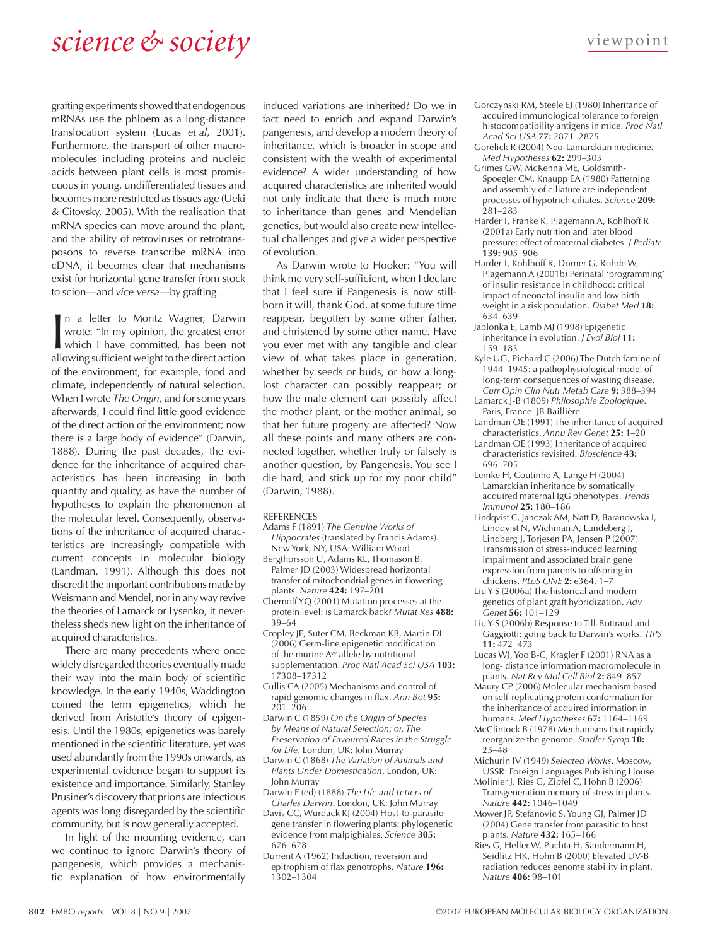## *science & society* viewpoint

grafting experiments showed that endogenous mRNAs use the phloem as a long-distance translocation system (Lucas *et al*, 2001). Furthermore, the transport of other macromolecules including proteins and nucleic acids between plant cells is most promiscuous in young, undifferentiated tissues and becomes more restricted as tissues age (Ueki & Citovsky, 2005). With the realisation that mRNA species can move around the plant, and the ability of retroviruses or retrotransposons to reverse transcribe mRNA into cDNA, it becomes clear that mechanisms exist for horizontal gene transfer from stock to scion—and *vice versa*—by grafting.

In a letter to Moritz Wagner, Darwin<br>wrote: "In my opinion, the greatest error<br>which I have committed, has been not<br>allowing sufficient weight to the direct action n a letter to Moritz Wagner, Darwin wrote: "In my opinion, the greatest error which I have committed, has been not of the environment, for example, food and climate, independently of natural selection. When I wrote *The Origin*, and for some years afterwards, I could find little good evidence of the direct action of the environment; now there is a large body of evidence" (Darwin, 1888). During the past decades, the evidence for the inheritance of acquired characteristics has been increasing in both quantity and quality, as have the number of hypotheses to explain the phenomenon at the molecular level. Consequently, observations of the inheritance of acquired characteristics are increasingly compatible with current concepts in molecular biology (Landman, 1991). Although this does not discredit the important contributions made by Weismann and Mendel, nor in any way revive the theories of Lamarck or Lysenko, it nevertheless sheds new light on the inheritance of acquired characteristics.

There are many precedents where once widely disregarded theories eventually made their way into the main body of scientific knowledge. In the early 1940s, Waddington coined the term epigenetics, which he derived from Aristotle's theory of epigenesis. Until the 1980s, epigenetics was barely mentioned in the scientific literature, yet was used abundantly from the 1990s onwards, as experimental evidence began to support its existence and importance. Similarly, Stanley Prusiner's discovery that prions are infectious agents was long disregarded by the scientific community, but is now generally accepted.

In light of the mounting evidence, can we continue to ignore Darwin's theory of pangenesis, which provides a mechanistic explanation of how environmentally

induced variations are inherited? Do we in fact need to enrich and expand Darwin's pangenesis, and develop a modern theory of inheritance, which is broader in scope and consistent with the wealth of experimental evidence? A wider understanding of how acquired characteristics are inherited would not only indicate that there is much more to inheritance than genes and Mendelian genetics, but would also create new intellectual challenges and give a wider perspective of evolution.

As Darwin wrote to Hooker: "You will think me very self-sufficient, when I declare that I feel sure if Pangenesis is now stillborn it will, thank God, at some future time reappear, begotten by some other father, and christened by some other name. Have you ever met with any tangible and clear view of what takes place in generation, whether by seeds or buds, or how a longlost character can possibly reappear; or how the male element can possibly affect the mother plant, or the mother animal, so that her future progeny are affected? Now all these points and many others are connected together, whether truly or falsely is another question, by Pangenesis. You see I die hard, and stick up for my poor child" (Darwin, 1988).

### REFERENCES

- Adams F (1891) *The Genuine Works of Hippocrates* (translated by Francis Adams). New York, NY, USA: William Wood
- Bergthorsson U, Adams KL, Thomason B, Palmer JD (2003) Widespread horizontal transfer of mitochondrial genes in flowering plants. *Nature* **424:** 197–201
- Chernoff YQ (2001) Mutation processes at the protein level: is Lamarck back? *Mutat Res* **488:** 39–64
- Cropley JE, Suter CM, Beckman KB, Martin DI (2006) Germ-line epigenetic modification of the murine A<sup>vy</sup> allele by nutritional supplementation. *Proc Natl Acad Sci USA* **103:** 17308–17312
- Cullis CA (2005) Mechanisms and control of rapid genomic changes in flax. *Ann Bot* **95:** 201–206
- Darwin C (1859) *On the Origin of Species by Means of Natural Selection; or, The Preservation of Favoured Races in the Struggle for Life*. London, UK: John Murray
- Darwin C (1868) *The Variation of Animals and Plants Under Domestication*. London, UK: John Murray
- Darwin F (ed) (1888) *The Life and Letters of Charles Darwin*. London, UK: John Murray
- Davis CC, Wurdack KJ (2004) Host-to-parasite gene transfer in flowering plants: phylogenetic evidence from malpighiales. *Science* **305:** 676–678
- Durrent A (1962) Induction, reversion and epitrophism of flax genotrophs. *Nature* **196:** 1302–1304
- Gorczynski RM, Steele EJ (1980) Inheritance of acquired immunological tolerance to foreign histocompatibility antigens in mice. *Proc Natl Acad Sci USA* **77:** 2871–2875
- Gorelick R (2004) Neo-Lamarckian medicine. *Med Hypotheses* **62:** 299–303
- Grimes GW, McKenna ME, Goldsmith-Spoegler CM, Knaupp EA (1980) Patterning and assembly of ciliature are independent processes of hypotrich ciliates. *Science* **209:** 281–283
- Harder T, Franke K, Plagemann A, Kohlhoff R (2001a) Early nutrition and later blood pressure: effect of maternal diabetes. *J Pediatr* **139:** 905–906
- Harder T, Kohlhoff R, Dorner G, Rohde W, Plagemann A (2001b) Perinatal 'programming' of insulin resistance in childhood: critical impact of neonatal insulin and low birth weight in a risk population. *Diabet Med* **18:** 634–639
- Jablonka E, Lamb MJ (1998) Epigenetic inheritance in evolution. *J Evol Biol* **11:** 159–183
- Kyle UG, Pichard C (2006) The Dutch famine of 1944–1945: a pathophysiological model of long-term consequences of wasting disease. *Curr Opin Clin Nutr Metab Care* **9:** 388–394
- Lamarck J-B (1809) *Philosophie Zoologique*. Paris, France: JB Baillière
- Landman OE (1991) The inheritance of acquired characteristics. *Annu Rev Genet* **25:** 1–20
- Landman OE (1993) Inheritance of acquired characteristics revisited. *Bioscience* **43:** 696–705
- Lemke H, Coutinho A, Lange H (2004) Lamarckian inheritance by somatically acquired maternal IgG phenotypes. *Trends Immunol* **25:** 180–186
- Lindqvist C, Janczak AM, Natt D, Baranowska I, Lindqvist N, Wichman A, Lundeberg J, Lindberg J, Torjesen PA, Jensen P (2007) Transmission of stress-induced learning impairment and associated brain gene expression from parents to offspring in chickens. *PLoS ONE* **2:** e364, 1–7
- Liu Y-S (2006a) The historical and modern genetics of plant graft hybridization. *Adv Genet* **56:** 101–129
- Liu Y-S (2006b) Response to Till-Bottraud and Gaggiotti: going back to Darwin's works. *TIPS* **11:** 472–473
- Lucas WJ, Yoo B-C, Kragler F (2001) RNA as a long- distance information macromolecule in plants. *Nat Rev Mol Cell Biol* **2:** 849–857
- Maury CP (2006) Molecular mechanism based on self-replicating protein conformation for the inheritance of acquired information in humans. *Med Hypotheses* **67:** 1164–1169
- McClintock B (1978) Mechanisms that rapidly reorganize the genome. *Stadler Symp* **10:** 25–48
- Michurin IV (1949) *Selected Works*. Moscow, USSR: Foreign Languages Publishing House
- Molinier J, Ries G, Zipfel C, Hohn B (2006) Transgeneration memory of stress in plants. *Nature* **442:** 1046–1049
- Mower JP, Stefanovic S, Young GJ, Palmer JD (2004) Gene transfer from parasitic to host plants. *Nature* **432:** 165–166
- Ries G, Heller W, Puchta H, Sandermann H, Seidlitz HK, Hohn B (2000) Elevated UV-B radiation reduces genome stability in plant. *Nature* **406:** 98–101